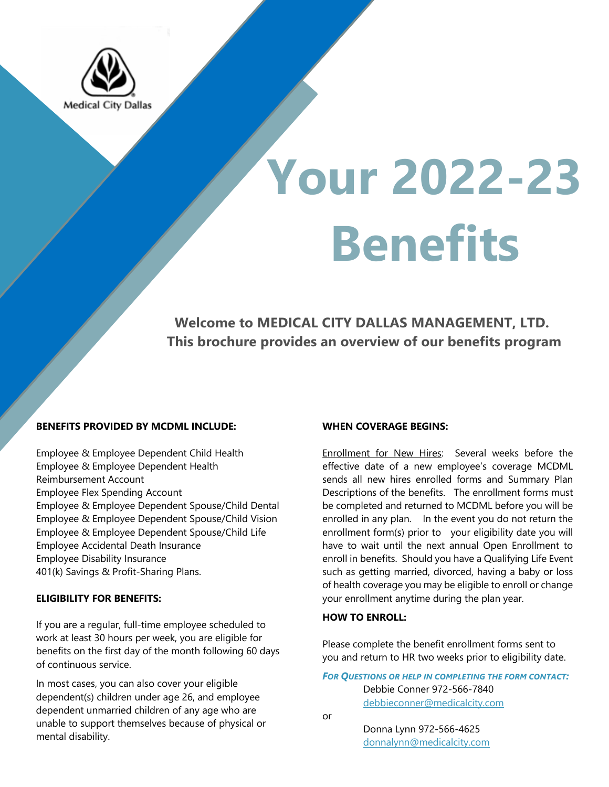

# **Your 2022-23 Benefits**

 **Welcome to MEDICAL CITY DALLAS MANAGEMENT, LTD. This brochure provides an overview of our benefits program**

# **BENEFITS PROVIDED BY MCDML INCLUDE:**

Employee & Employee Dependent Child Health Employee & Employee Dependent Health Reimbursement Account Employee Flex Spending Account Employee & Employee Dependent Spouse/Child Dental Employee & Employee Dependent Spouse/Child Vision Employee & Employee Dependent Spouse/Child Life Employee Accidental Death Insurance Employee Disability Insurance 401(k) Savings & Profit-Sharing Plans.

#### **ELIGIBILITY FOR BENEFITS:**

If you are a regular, full-time employee scheduled to work at least 30 hours per week, you are eligible for benefits on the first day of the month following 60 days of continuous service.

In most cases, you can also cover your eligible dependent(s) children under age 26, and employee dependent unmarried children of any age who are unable to support themselves because of physical or mental disability.

#### **WHEN COVERAGE BEGINS:**

Enrollment for New Hires: Several weeks before the effective date of a new employee's coverage MCDML sends all new hires enrolled forms and Summary Plan Descriptions of the benefits. The enrollment forms must be completed and returned to MCDML before you will be enrolled in any plan. In the event you do not return the enrollment form(s) prior to your eligibility date you will have to wait until the next annual Open Enrollment to enroll in benefits. Should you have a Qualifying Life Event such as getting married, divorced, having a baby or loss of health coverage you may be eligible to enroll or change your enrollment anytime during the plan year.

### **HOW TO ENROLL:**

Please complete the benefit enrollment forms sent to you and return to HR two weeks prior to eligibility date.

*FOR QUESTIONS OR HELP IN COMPLETING THE FORM CONTACT:* Debbie Conner 972-566-7840

debbieconner@medicalcity.com

or

 Donna Lynn 972-566-4625 donnalynn@medicalcity.com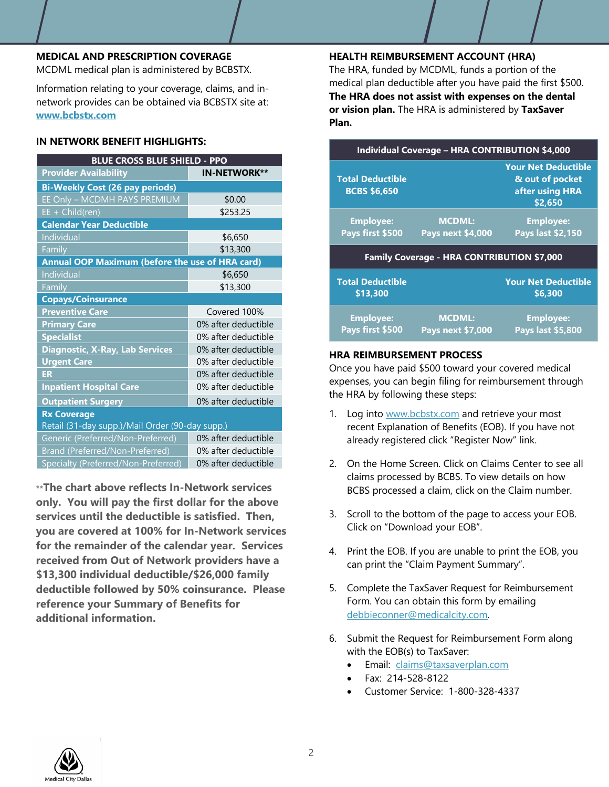#### **MEDICAL AND PRESCRIPTION COVERAGE**

MCDML medical plan is administered by BCBSTX.

Information relating to your coverage, claims, and innetwork provides can be obtained via BCBSTX site at: **www.bcbstx.com**

# **IN NETWORK BENEFIT HIGHLIGHTS:**

| <b>BLUE CROSS BLUE SHIELD - PPO</b>             |                     |  |
|-------------------------------------------------|---------------------|--|
| <b>Provider Availability</b>                    | <b>IN-NETWORK**</b> |  |
| <b>Bi-Weekly Cost (26 pay periods)</b>          |                     |  |
| EE Only - MCDMH PAYS PREMIUM                    | \$0.00              |  |
| $EE + Child(ren)$                               | \$253.25            |  |
| <b>Calendar Year Deductible</b>                 |                     |  |
| Individual                                      | \$6,650             |  |
| Family                                          | \$13,300            |  |
| Annual OOP Maximum (before the use of HRA card) |                     |  |
| Individual                                      | \$6,650             |  |
| Family                                          | \$13,300            |  |
| <b>Copays/Coinsurance</b>                       |                     |  |
| <b>Preventive Care</b>                          | Covered 100%        |  |
| <b>Primary Care</b>                             | 0% after deductible |  |
| <b>Specialist</b>                               | 0% after deductible |  |
| <b>Diagnostic, X-Ray, Lab Services</b>          | 0% after deductible |  |
| <b>Urgent Care</b>                              | 0% after deductible |  |
| <b>ER</b>                                       | 0% after deductible |  |
| <b>Inpatient Hospital Care</b>                  | 0% after deductible |  |
| <b>Outpatient Surgery</b>                       | 0% after deductible |  |
| <b>Rx Coverage</b>                              |                     |  |
| Retail (31-day supp.)/Mail Order (90-day supp.) |                     |  |
| Generic (Preferred/Non-Preferred)               | 0% after deductible |  |
| Brand (Preferred/Non-Preferred)                 | 0% after deductible |  |
| Specialty (Preferred/Non-Preferred)             | 0% after deductible |  |

**\*\*The chart above reflects In-Network services only. You will pay the first dollar for the above services until the deductible is satisfied. Then, you are covered at 100% for In-Network services for the remainder of the calendar year. Services received from Out of Network providers have a \$13,300 individual deductible/\$26,000 family deductible followed by 50% coinsurance. Please reference your Summary of Benefits for additional information.**

## **HEALTH REIMBURSEMENT ACCOUNT (HRA)**

The HRA, funded by MCDML, funds a portion of the medical plan deductible after you have paid the first \$500. **The HRA does not assist with expenses on the dental or vision plan.** The HRA is administered by **TaxSaver Plan.**

| <b>Individual Coverage - HRA CONTRIBUTION \$4,000</b> |                                           |                                                                             |  |  |
|-------------------------------------------------------|-------------------------------------------|-----------------------------------------------------------------------------|--|--|
| <b>Total Deductible</b><br><b>BCBS \$6,650</b>        |                                           | <b>Your Net Deductible</b><br>& out of pocket<br>after using HRA<br>\$2,650 |  |  |
| <b>Employee:</b><br>Pays first \$500                  | <b>MCDML:</b><br><b>Pays next \$4,000</b> | <b>Employee:</b><br><b>Pays last \$2,150</b>                                |  |  |
| Family Coverage - HRA CONTRIBUTION \$7,000            |                                           |                                                                             |  |  |
| <b>Total Deductible</b><br>\$13,300                   |                                           | <b>Your Net Deductible</b><br>\$6.300                                       |  |  |
| <b>Employee:</b><br>Pays first \$500                  | <b>MCDML:</b><br><b>Pays next \$7,000</b> | <b>Employee:</b><br>Pays last \$5,800                                       |  |  |

# **HRA REIMBURSEMENT PROCESS**

Once you have paid \$500 toward your covered medical expenses, you can begin filing for reimbursement through the HRA by following these steps:

- 1. Log into www.bcbstx.com and retrieve your most recent Explanation of Benefits (EOB). If you have not already registered click "Register Now" link.
- 2. On the Home Screen. Click on Claims Center to see all claims processed by BCBS. To view details on how BCBS processed a claim, click on the Claim number.
- 3. Scroll to the bottom of the page to access your EOB. Click on "Download your EOB".
- 4. Print the EOB. If you are unable to print the EOB, you can print the "Claim Payment Summary".
- 5. Complete the TaxSaver Request for Reimbursement Form. You can obtain this form by emailing debbieconner@medicalcity.com.
- 6. Submit the Request for Reimbursement Form along with the EOB(s) to TaxSaver:
	- Email: claims@taxsaverplan.com
	- Fax: 214-528-8122
	- Customer Service: 1-800-328-4337

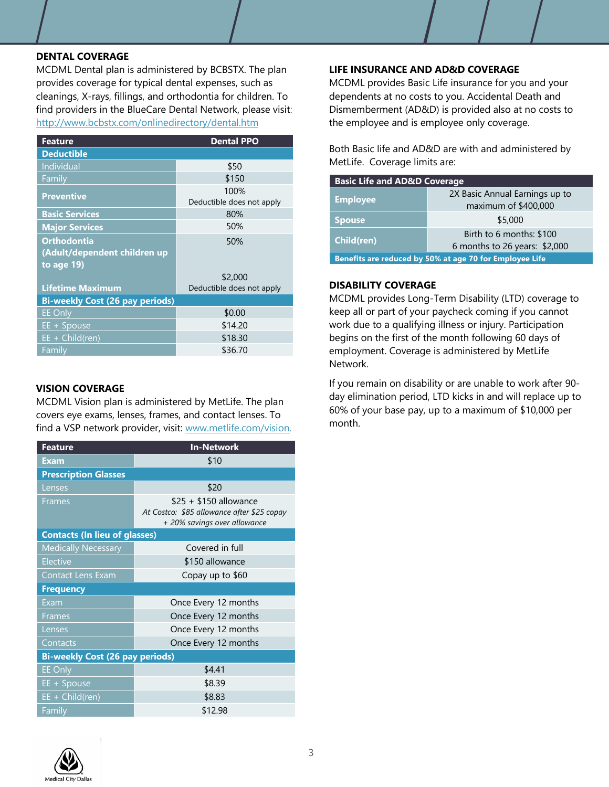### **DENTAL COVERAGE**

MCDML Dental plan is administered by BCBSTX. The plan provides coverage for typical dental expenses, such as cleanings, X-rays, fillings, and orthodontia for children. To find providers in the BlueCare Dental Network, please visit: http://www.bcbstx.com/onlinedirectory/dental.htm

| <b>Feature</b>                         | <b>Dental PPO</b>                 |  |
|----------------------------------------|-----------------------------------|--|
| <b>Deductible</b>                      |                                   |  |
| Individual                             | \$50                              |  |
| Family                                 | \$150                             |  |
| <b>Preventive</b>                      | 100%<br>Deductible does not apply |  |
| <b>Basic Services</b>                  | 80%                               |  |
| <b>Major Services</b>                  | 50%                               |  |
| <b>Orthodontia</b>                     | 50%                               |  |
| (Adult/dependent children up           |                                   |  |
| to age 19)                             |                                   |  |
|                                        | \$2,000                           |  |
| <b>Lifetime Maximum</b>                | Deductible does not apply         |  |
| <b>Bi-weekly Cost (26 pay periods)</b> |                                   |  |
| <b>EE Only</b>                         | \$0.00                            |  |
| EE + Spouse                            | \$14.20                           |  |
| $EE + Child(ren)$                      | \$18.30                           |  |
| Family                                 | \$36.70                           |  |

# **VISION COVERAGE**

MCDML Vision plan is administered by MetLife. The plan covers eye exams, lenses, frames, and contact lenses. To find a VSP network provider, visit: www.metlife.com/vision.

| <b>Feature</b>                         | <b>In-Network</b>                                                          |  |
|----------------------------------------|----------------------------------------------------------------------------|--|
| <b>Exam</b>                            | \$10                                                                       |  |
| <b>Prescription Glasses</b>            |                                                                            |  |
| Lenses                                 | \$20                                                                       |  |
| <b>Frames</b>                          | $$25 + $150$ allowance                                                     |  |
|                                        | At Costco: \$85 allowance after \$25 copay<br>+ 20% savings over allowance |  |
| <b>Contacts (In lieu of glasses)</b>   |                                                                            |  |
| <b>Medically Necessary</b>             | Covered in full                                                            |  |
| <b>Elective</b>                        | \$150 allowance                                                            |  |
| <b>Contact Lens Exam</b>               | Copay up to \$60                                                           |  |
| <b>Frequency</b>                       |                                                                            |  |
| Exam                                   | Once Every 12 months                                                       |  |
| <b>Frames</b>                          | Once Every 12 months                                                       |  |
| Lenses                                 | Once Every 12 months                                                       |  |
| Contacts                               | Once Every 12 months                                                       |  |
| <b>Bi-weekly Cost (26 pay periods)</b> |                                                                            |  |
| <b>EE Only</b>                         | \$4.41                                                                     |  |
| EE + Spouse                            | \$8.39                                                                     |  |
| $EE + Child(ren)$                      | \$8.83                                                                     |  |
| Family                                 | \$12.98                                                                    |  |

#### **LIFE INSURANCE AND AD&D COVERAGE**

MCDML provides Basic Life insurance for you and your dependents at no costs to you. Accidental Death and Dismemberment (AD&D) is provided also at no costs to the employee and is employee only coverage.

Both Basic life and AD&D are with and administered by MetLife. Coverage limits are:

| <b>Basic Life and AD&amp;D Coverage</b>                 |                                |
|---------------------------------------------------------|--------------------------------|
| <b>Employee</b>                                         | 2X Basic Annual Earnings up to |
|                                                         | maximum of \$400,000           |
| <b>Spouse</b>                                           | \$5,000                        |
| Child(ren)                                              | Birth to 6 months: \$100       |
|                                                         | 6 months to 26 years: $$2,000$ |
| Benefits are reduced by 50% at age 70 for Employee Life |                                |

## **DISABILITY COVERAGE**

MCDML provides Long-Term Disability (LTD) coverage to keep all or part of your paycheck coming if you cannot work due to a qualifying illness or injury. Participation begins on the first of the month following 60 days of employment. Coverage is administered by MetLife Network.

If you remain on disability or are unable to work after 90 day elimination period, LTD kicks in and will replace up to 60% of your base pay, up to a maximum of \$10,000 per month.